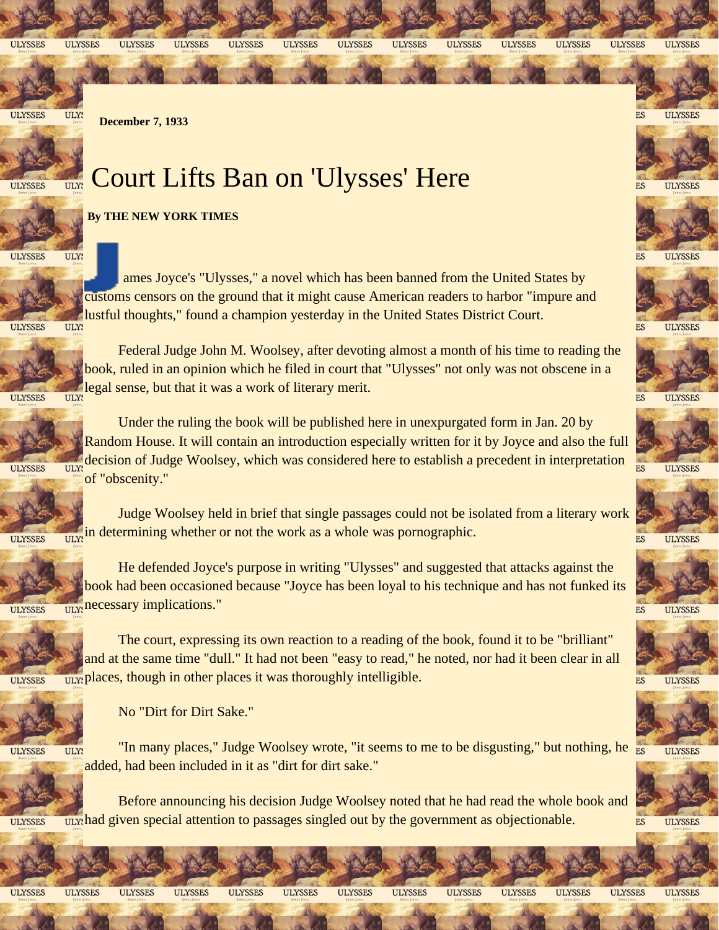**ULYSSES** 

**ULYSSES** 

**ULYSSES** 

**ULYSSES** 

**ULYSSES ULYSSES**  **ULYSSES ULYSSES** 

**ULYSSES ULYSSES** 

**ULYSSES** 

**ULYSSES** 

**ULYSSES** 

**ULYSSES** 

**ULYSSES** 

**ULYSSES** 

**ULYSSES** 

**ULYSSES** 

**ULYSSES** 

ES

ES

ES

ES

ES

ES

ES

**ULYSSES** ULY!

**ULYSSES** 

 **December 7, 1933**

## Court Lifts Ban on 'Ulysses' Here



ULY:

## **By THE NEW YORK TIMES**

**ULYSSES** ULY!

> ames Joyce's "Ulysses," a novel which has been banned from the United States by customs censors on the ground that it might cause American readers to harbor "impure and lustful thoughts," found a champion yesterday in the United States District Court.

ULY! **ULYSSES** 



Federal Judge John M. Woolsey, after devoting almost a month of his time to reading the book, ruled in an opinion which he filed in court that "Ulysses" not only was not obscene in a legal sense, but that it was a work of literary merit.

**ULYSSES ULY!** 



Under the ruling the book will be published here in unexpurgated form in Jan. 20 by Random House. It will contain an introduction especially written for it by Joyce and also the full decision of Judge Woolsey, which was considered here to establish a precedent in interpretation  $U_{\text{max}}^{\text{ULYt}}$  of "obscenity."  $ES$ 



Judge Woolsey held in brief that single passages could not be isolated from a literary work in determining whether or not the work as a whole was pornographic.

**ULY! ULYSSES** 

> He defended Joyce's purpose in writing "Ulysses" and suggested that attacks against the book had been occasioned because "Joyce has been loyal to his technique and has not funked its necessary implications."

**ULY! ULYSSES** 

> The court, expressing its own reaction to a reading of the book, found it to be "brilliant" and at the same time "dull." It had not been "easy to read," he noted, nor had it been clear in all places, though in other places it was thoroughly intelligible. **OLY:**

**ULYSSES** 





٦T

n

No "Dirt for Dirt Sake."

**ULYSSES** 

ar

۵ï

ar

n

۵ï

"In many places," Judge Woolsey wrote, "it seems to me to be disgusting," but nothing, he

Before announcing his decision Judge Woolsey noted that he had read the whole book and

n

ar

**ULYSSES** 



**ULYSSES** 



**ULYSSES** 

r.)

n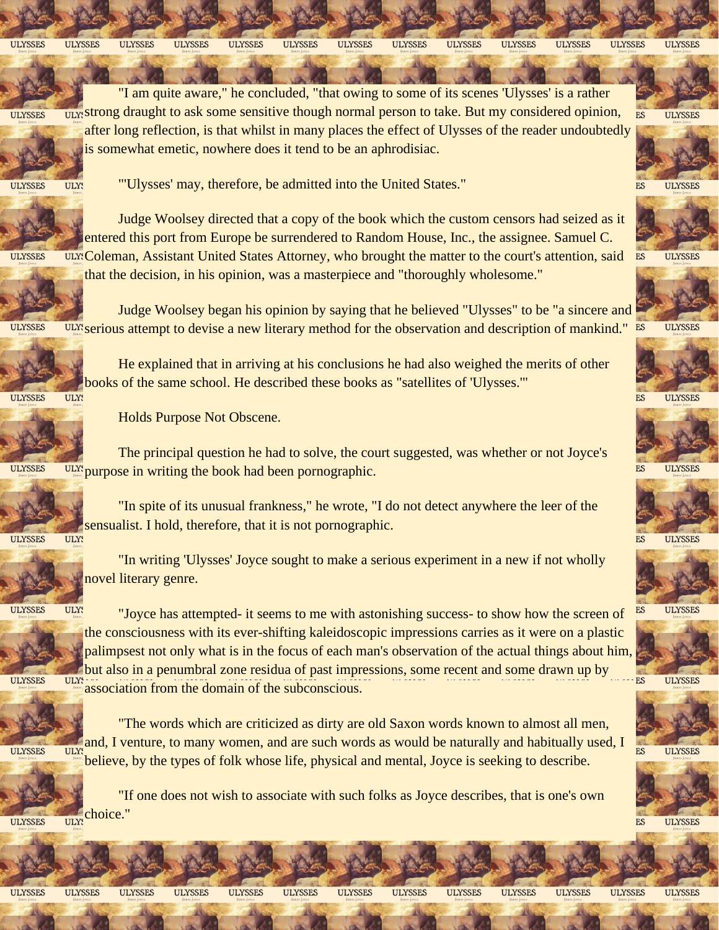## **ULYSSES ULYSSES ULYSSES ULYSSES ULYSSES ULYSSES ULYSSES ULYSSES ULYSSES ULYSSES ULYSSES ULYSSES ULYSSES**

"I am quite aware," he concluded, "that owing to some of its scenes 'Ulysses' is a rather strong draught to ask some sensitive though normal person to take. But my considered opinion, ULY: **ES** after long reflection, is that whilst in many places the effect of Ulysses of the reader undoubtedly is somewhat emetic, nowhere does it tend to be an aphrodisiac.



**ULYSSES** 

**ULYSSES** 

"'Ulysses' may, therefore, be admitted into the United States."

Judge Woolsey directed that a copy of the book which the custom censors had seized as it entered this port from Europe be surrendered to Random House, Inc., the assignee. Samuel C. ULY: Coleman, Assistant United States Attorney, who brought the matter to the court's attention, said that the decision, in his opinion, was a masterpiece and "thoroughly wholesome."

Judge Woolsey began his opinion by saying that he believed "Ulysses" to be "a sincere and serious attempt to devise a new literary method for the observation and description of mankind." **ULYSSES** 

> He explained that in arriving at his conclusions he had also weighed the merits of other books of the same school. He described these books as "satellites of 'Ulysses.'"

**ULYSSES ULY!** 



Holds Purpose Not Obscene.

The principal question he had to solve, the court suggested, was whether or not Joyce's **ulx** purpose in writing the book had been pornographic. **ULYSSES** 



"In spite of its unusual frankness," he wrote, "I do not detect anywhere the leer of the sensualist. I hold, therefore, that it is not pornographic.

**ULY!** 

"In writing 'Ulysses' Joyce sought to make a serious experiment in a new if not wholly novel literary genre.

**ULYSSES** 

"Joyce has attempted- it seems to me with astonishing success- to show how the screen of **OLY!** the consciousness with its ever-shifting kaleidoscopic impressions carries as it were on a plastic palimpsest not only what is in the focus of each man's observation of the actual things about him, but also in a penumbral zone residua of past impressions, some recent and some drawn up by  $U<sub>1</sub>$ <sup>ULYs</sup> association from the domain of the subconscious.

**ULYSSES** 

"The words which are criticized as dirty are old Saxon words known to almost all men, and, I venture, to many women, and are such words as would be naturally and habitually used, I believe, by the types of folk whose life, physical and mental, Joyce is seeking to describe.

"If one does not wish to associate with such folks as Joyce describes, that is one's own choice."

**ULYSSES ULY:** 



JF

ור

**ULYSSES** 

GD

**ULYSSES ULYSSES** 

ar

GP

**ULYSSES ULYSSES** 

n

ar

JM

ar

**ULYSSES ULYSSES** 

 $\mathbf{r}$ 



 $ES$ **ULYSSES** 



**ULYSSES** 

ES **ULYSSES** 

**ULYSSES** 

**ULYSSES** 

**ULYSSES** 

**ULYSSES** 

ES

ES

ES



ES **ULYSSES** 



**ULYSSES** 

ES<sub></sub>